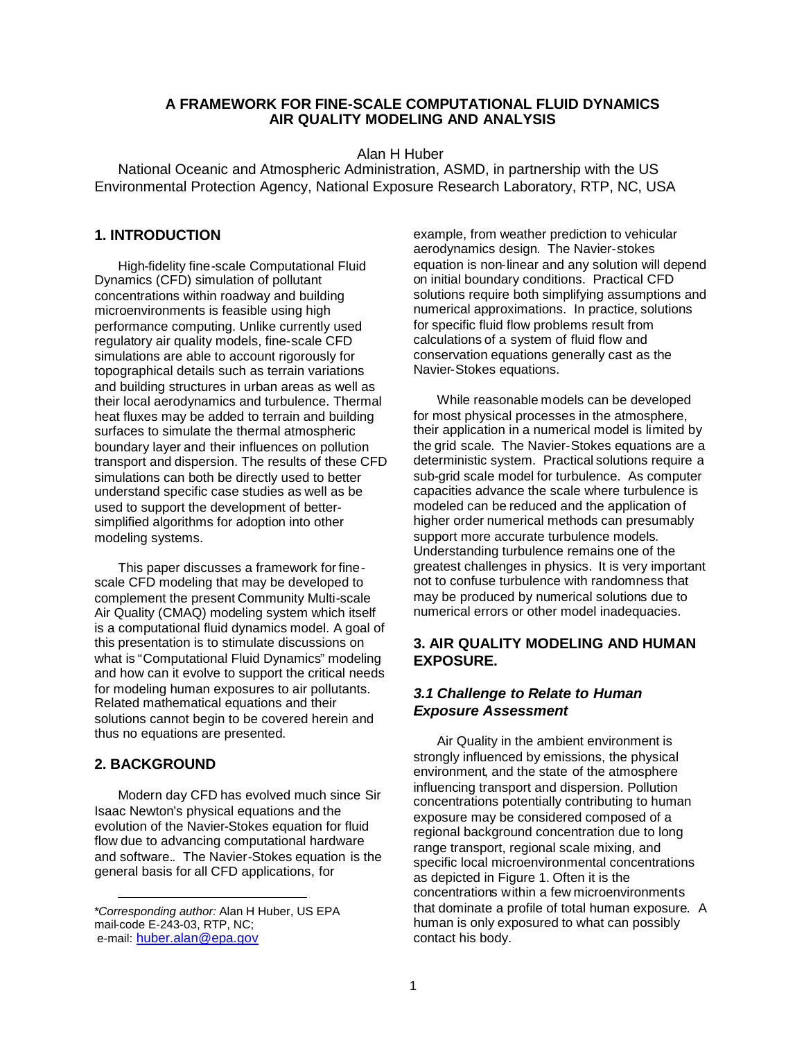#### **A FRAMEWORK FOR FINE-SCALE COMPUTATIONAL FLUID DYNAMICS AIR QUALITY MODELING AND ANALYSIS**

Alan H Huber

National Oceanic and Atmospheric Administration, ASMD, in partnership with the US Environmental Protection Agency, National Exposure Research Laboratory, RTP, NC, USA

#### **1. INTRODUCTION**

High-fidelity fine-scale Computational Fluid Dynamics (CFD) simulation of pollutant concentrations within roadway and building microenvironments is feasible using high performance computing. Unlike currently used regulatory air quality models, fine-scale CFD simulations are able to account rigorously for topographical details such as terrain variations and building structures in urban areas as well as their local aerodynamics and turbulence. Thermal heat fluxes may be added to terrain and building surfaces to simulate the thermal atmospheric boundary layer and their influences on pollution transport and dispersion. The results of these CFD simulations can both be directly used to better understand specific case studies as well as be used to support the development of bettersimplified algorithms for adoption into other modeling systems.

This paper discusses a framework for finescale CFD modeling that may be developed to complement the present Community Multi-scale Air Quality (CMAQ) modeling system which itself is a computational fluid dynamics model. A goal of this presentation is to stimulate discussions on what is "Computational Fluid Dynamics" modeling and how can it evolve to support the critical needs for modeling human exposures to air pollutants. Related mathematical equations and their solutions cannot begin to be covered herein and thus no equations are presented.

#### **2. BACKGROUND**

Modern day CFD has evolved much since Sir Isaac Newton's physical equations and the evolution of the Navier-Stokes equation for fluid flow due to advancing computational hardware and software.. The Navier-Stokes equation is the general basis for all CFD applications, for

example, from weather prediction to vehicular aerodynamics design. The Navier-stokes equation is non-linear and any solution will depend on initial boundary conditions. Practical CFD solutions require both simplifying assumptions and numerical approximations. In practice, solutions for specific fluid flow problems result from calculations of a system of fluid flow and conservation equations generally cast as the Navier-Stokes equations.

While reasonable models can be developed for most physical processes in the atmosphere, their application in a numerical model is limited by the grid scale. The Navier-Stokes equations are a deterministic system. Practical solutions require a sub-grid scale model for turbulence. As computer capacities advance the scale where turbulence is modeled can be reduced and the application of higher order numerical methods can presumably support more accurate turbulence models. Understanding turbulence remains one of the greatest challenges in physics. It is very important not to confuse turbulence with randomness that may be produced by numerical solutions due to numerical errors or other model inadequacies.

## **3. AIR QUALITY MODELING AND HUMAN EXPOSURE.**

## *3.1 Challenge to Relate to Human Exposure Assessment*

Air Quality in the ambient environment is strongly influenced by emissions, the physical environment, and the state of the atmosphere influencing transport and dispersion. Pollution concentrations potentially contributing to human exposure may be considered composed of a regional background concentration due to long range transport, regional scale mixing, and specific local microenvironmental concentrations as depicted in Figure 1. Often it is the concentrations within a few microenvironments that dominate a profile of total human exposure. A human is only exposured to what can possibly contact his body.

<sup>\*</sup>*Corresponding author:* Alan H Huber, US EPA mail-code E-243-03, RTP, NC; e-mail: huber.alan@epa.gov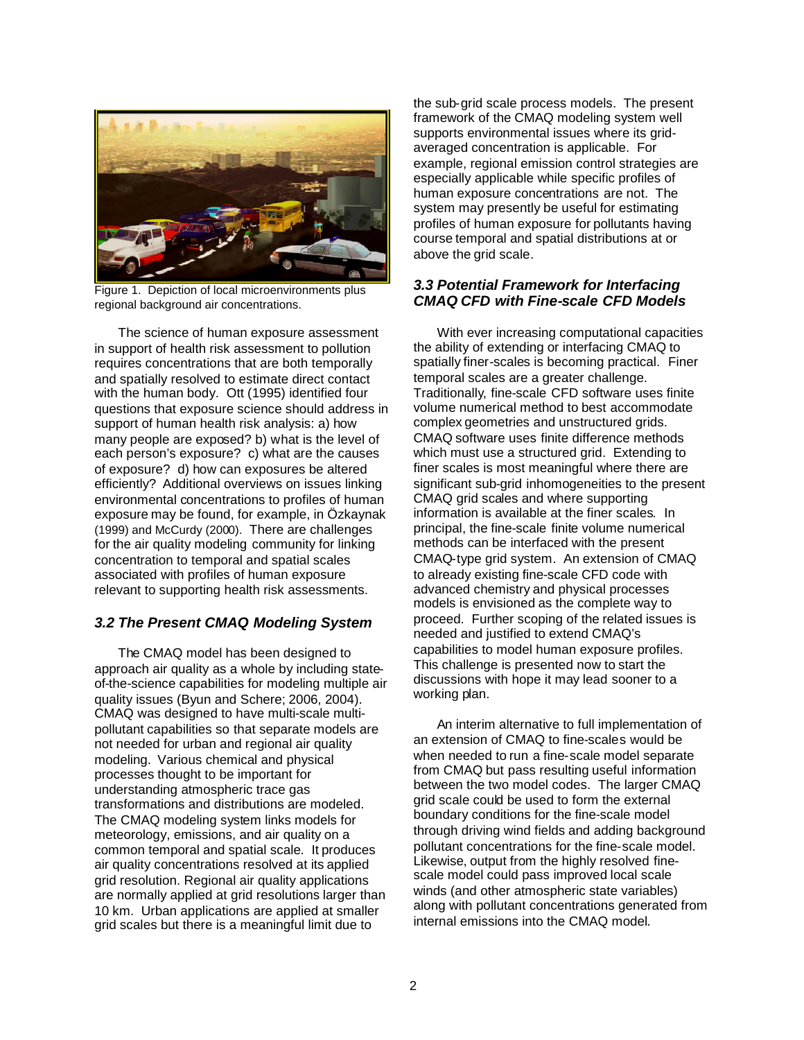

Figure 1. Depiction of local microenvironments plus regional background air concentrations.

The science of human exposure assessment in support of health risk assessment to pollution requires concentrations that are both temporally and spatially resolved to estimate direct contact with the human body. Ott (1995) identified four questions that exposure science should address in support of human health risk analysis: a) how many people are exposed? b) what is the level of each person's exposure? c) what are the causes of exposure? d) how can exposures be altered efficiently? Additional overviews on issues linking environmental concentrations to profiles of human exposure may be found, for example, in Özkaynak (1999) and McCurdy (2000). There are challenges for the air quality modeling community for linking concentration to temporal and spatial scales associated with profiles of human exposure relevant to supporting health risk assessments.

## *3.2 The Present CMAQ Modeling System*

The CMAQ model has been designed to approach air quality as a whole by including stateof-the-science capabilities for modeling multiple air quality issues (Byun and Schere; 2006, 2004). CMAQ was designed to have multi-scale multipollutant capabilities so that separate models are not needed for urban and regional air quality modeling. Various chemical and physical processes thought to be important for understanding atmospheric trace gas transformations and distributions are modeled. The CMAQ modeling system links models for meteorology, emissions, and air quality on a common temporal and spatial scale. It produces air quality concentrations resolved at its applied grid resolution. Regional air quality applications are normally applied at grid resolutions larger than 10 km. Urban applications are applied at smaller grid scales but there is a meaningful limit due to

the sub-grid scale process models. The present framework of the CMAQ modeling system well supports environmental issues where its gridaveraged concentration is applicable. For example, regional emission control strategies are especially applicable while specific profiles of human exposure concentrations are not. The system may presently be useful for estimating profiles of human exposure for pollutants having course temporal and spatial distributions at or above the grid scale.

# *3.3 Potential Framework for Interfacing CMAQ CFD with Fine-scale CFD Models*

With ever increasing computational capacities the ability of extending or interfacing CMAQ to spatially finer-scales is becoming practical. Finer temporal scales are a greater challenge. Traditionally, fine-scale CFD software uses finite volume numerical method to best accommodate complex geometries and unstructured grids. CMAQ software uses finite difference methods which must use a structured grid. Extending to finer scales is most meaningful where there are significant sub-grid inhomogeneities to the present CMAQ grid scales and where supporting information is available at the finer scales. In principal, the fine-scale finite volume numerical methods can be interfaced with the present CMAQ-type grid system. An extension of CMAQ to already existing fine-scale CFD code with advanced chemistry and physical processes models is envisioned as the complete way to proceed. Further scoping of the related issues is needed and justified to extend CMAQ's capabilities to model human exposure profiles. This challenge is presented now to start the discussions with hope it may lead sooner to a working plan.

An interim alternative to full implementation of an extension of CMAQ to fine-scales would be when needed to run a fine-scale model separate from CMAQ but pass resulting useful information between the two model codes. The larger CMAQ grid scale could be used to form the external boundary conditions for the fine-scale model through driving wind fields and adding background pollutant concentrations for the fine-scale model. Likewise, output from the highly resolved finescale model could pass improved local scale winds (and other atmospheric state variables) along with pollutant concentrations generated from internal emissions into the CMAQ model.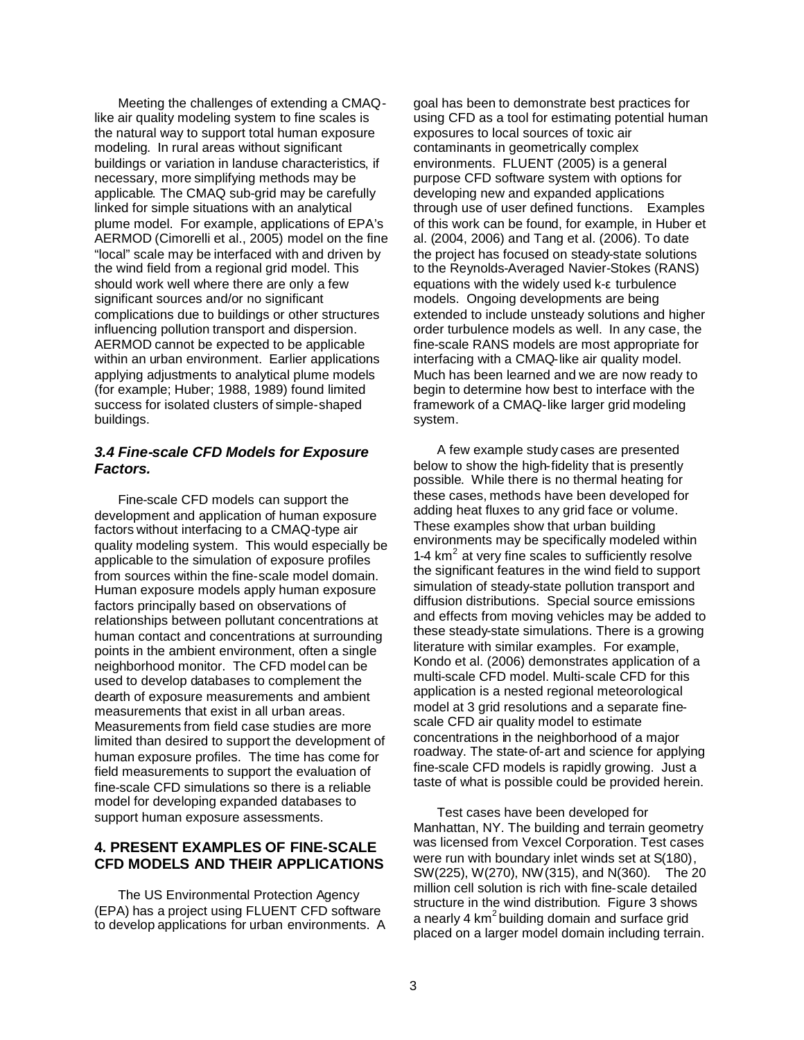Meeting the challenges of extending a CMAQlike air quality modeling system to fine scales is the natural way to support total human exposure modeling. In rural areas without significant buildings or variation in landuse characteristics, if necessary, more simplifying methods may be applicable. The CMAQ sub-grid may be carefully linked for simple situations with an analytical plume model. For example, applications of EPA's AERMOD (Cimorelli et al., 2005) model on the fine "local" scale may be interfaced with and driven by the wind field from a regional grid model. This should work well where there are only a few significant sources and/or no significant complications due to buildings or other structures influencing pollution transport and dispersion. AERMOD cannot be expected to be applicable within an urban environment. Earlier applications applying adjustments to analytical plume models (for example; Huber; 1988, 1989) found limited success for isolated clusters of simple-shaped buildings.

#### *3.4 Fine-scale CFD Models for Exposure Factors.*

Fine-scale CFD models can support the development and application of human exposure factors without interfacing to a CMAQ-type air quality modeling system. This would especially be applicable to the simulation of exposure profiles from sources within the fine-scale model domain. Human exposure models apply human exposure factors principally based on observations of relationships between pollutant concentrations at human contact and concentrations at surrounding points in the ambient environment, often a single neighborhood monitor. The CFD model can be used to develop databases to complement the dearth of exposure measurements and ambient measurements that exist in all urban areas. Measurements from field case studies are more limited than desired to support the development of human exposure profiles. The time has come for field measurements to support the evaluation of fine-scale CFD simulations so there is a reliable model for developing expanded databases to support human exposure assessments.

# **4. PRESENT EXAMPLES OF FINE-SCALE CFD MODELS AND THEIR APPLICATIONS**

The US Environmental Protection Agency (EPA) has a project using FLUENT CFD software to develop applications for urban environments. A goal has been to demonstrate best practices for using CFD as a tool for estimating potential human exposures to local sources of toxic air contaminants in geometrically complex environments. FLUENT (2005) is a general purpose CFD software system with options for developing new and expanded applications through use of user defined functions. Examples of this work can be found, for example, in Huber et al. (2004, 2006) and Tang et al. (2006). To date the project has focused on steady-state solutions to the Reynolds-Averaged Navier-Stokes (RANS) equations with the widely used k-ε turbulence models. Ongoing developments are being extended to include unsteady solutions and higher order turbulence models as well. In any case, the fine-scale RANS models are most appropriate for interfacing with a CMAQ-like air quality model. Much has been learned and we are now ready to begin to determine how best to interface with the framework of a CMAQ-like larger grid modeling system.

A few example study cases are presented below to show the high-fidelity that is presently possible. While there is no thermal heating for these cases, methods have been developed for adding heat fluxes to any grid face or volume. These examples show that urban building environments may be specifically modeled within 1-4  $km<sup>2</sup>$  at very fine scales to sufficiently resolve the significant features in the wind field to support simulation of steady-state pollution transport and diffusion distributions. Special source emissions and effects from moving vehicles may be added to these steady-state simulations. There is a growing literature with similar examples. For example, Kondo et al. (2006) demonstrates application of a multi-scale CFD model. Multi-scale CFD for this application is a nested regional meteorological model at 3 grid resolutions and a separate finescale CFD air quality model to estimate concentrations in the neighborhood of a major roadway. The state-of-art and science for applying fine-scale CFD models is rapidly growing. Just a taste of what is possible could be provided herein.

Test cases have been developed for Manhattan, NY. The building and terrain geometry was licensed from Vexcel Corporation. Test cases were run with boundary inlet winds set at S(180), SW(225), W(270), NW(315), and N(360). The 20 million cell solution is rich with fine-scale detailed structure in the wind distribution. Figure 3 shows a nearly 4 km<sup>2</sup> building domain and surface grid placed on a larger model domain including terrain.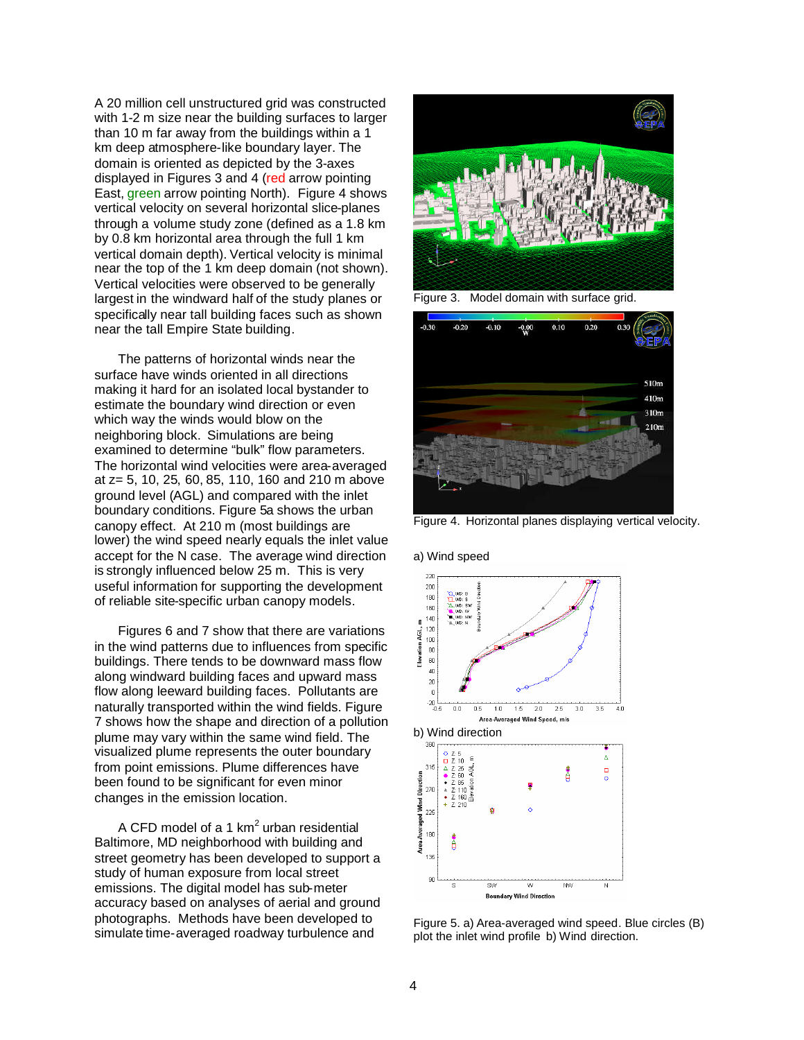A 20 million cell unstructured grid was constructed with 1-2 m size near the building surfaces to larger than 10 m far away from the buildings within a 1 km deep atmosphere-like boundary layer. The domain is oriented as depicted by the 3-axes displayed in Figures 3 and 4 (red arrow pointing East, green arrow pointing North). Figure 4 shows vertical velocity on several horizontal slice-planes through a volume study zone (defined as a 1.8 km by 0.8 km horizontal area through the full 1 km vertical domain depth). Vertical velocity is minimal near the top of the 1 km deep domain (not shown). Vertical velocities were observed to be generally largest in the windward half of the study planes or specifically near tall building faces such as shown near the tall Empire State building.

The patterns of horizontal winds near the surface have winds oriented in all directions making it hard for an isolated local bystander to estimate the boundary wind direction or even which way the winds would blow on the neighboring block. Simulations are being examined to determine "bulk" flow parameters. The horizontal wind velocities were area-averaged at z= 5, 10, 25, 60, 85, 110, 160 and 210 m above ground level (AGL) and compared with the inlet boundary conditions. Figure 5a shows the urban canopy effect. At 210 m (most buildings are lower) the wind speed nearly equals the inlet value accept for the N case. The average wind direction is strongly influenced below 25 m. This is very useful information for supporting the development of reliable site-specific urban canopy models.

Figures 6 and 7 show that there are variations in the wind patterns due to influences from specific buildings. There tends to be downward mass flow along windward building faces and upward mass flow along leeward building faces. Pollutants are naturally transported within the wind fields. Figure 7 shows how the shape and direction of a pollution plume may vary within the same wind field. The visualized plume represents the outer boundary from point emissions. Plume differences have been found to be significant for even minor changes in the emission location.

A CFD model of a 1 km<sup>2</sup> urban residential Baltimore, MD neighborhood with building and street geometry has been developed to support a study of human exposure from local street emissions. The digital model has sub-meter accuracy based on analyses of aerial and ground photographs. Methods have been developed to simulate time-averaged roadway turbulence and



Figure 3. Model domain with surface grid.



Figure 4. Horizontal planes displaying vertical velocity.

a) Wind speed



Figure 5. a) Area-averaged wind speed. Blue circles (B) plot the inlet wind profile b) Wind direction.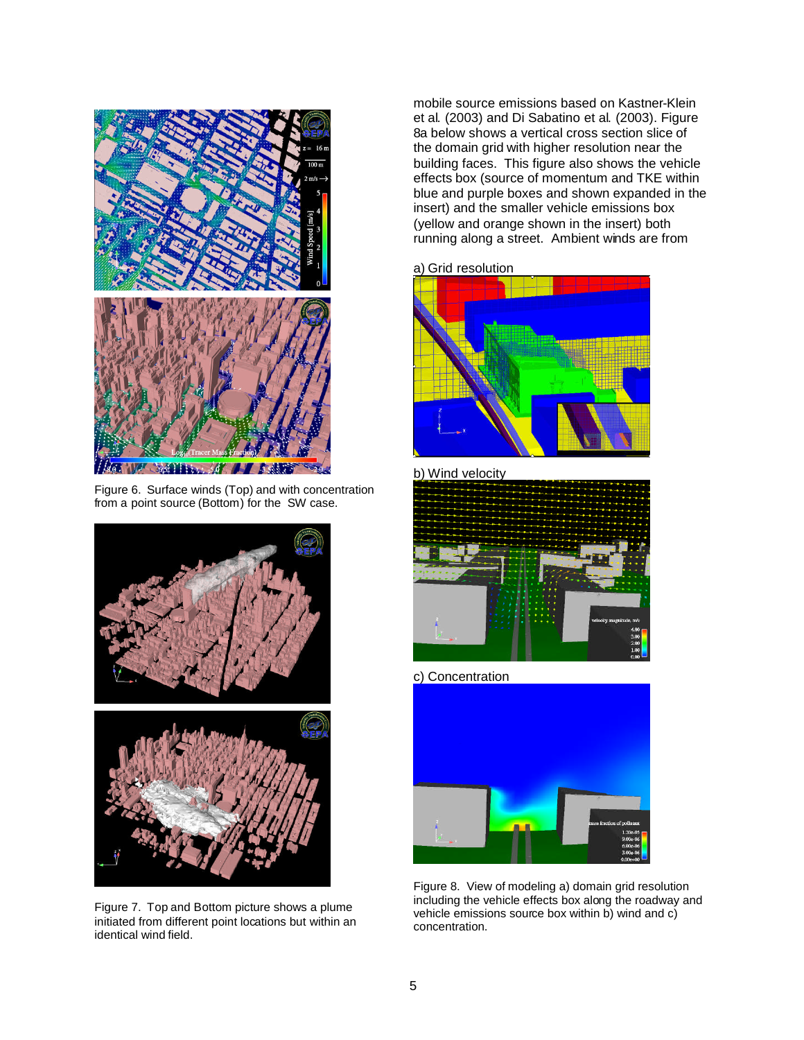

Figure 6. Surface winds (Top) and with concentration from a point source (Bottom) for the SW case.



Figure 7. Top and Bottom picture shows a plume initiated from different point locations but within an identical wind field.

mobile source emissions based on Kastner-Klein et al. (2003) and Di Sabatino et al. (2003). Figure 8a below shows a vertical cross section slice of the domain grid with higher resolution near the building faces. This figure also shows the vehicle effects box (source of momentum and TKE within blue and purple boxes and shown expanded in the insert) and the smaller vehicle emissions box (yellow and orange shown in the insert) both running along a street. Ambient winds are from

a) Grid resolution



b) Wind velocity



c) Concentration



Figure 8. View of modeling a) domain grid resolution including the vehicle effects box along the roadway and vehicle emissions source box within b) wind and c) concentration.